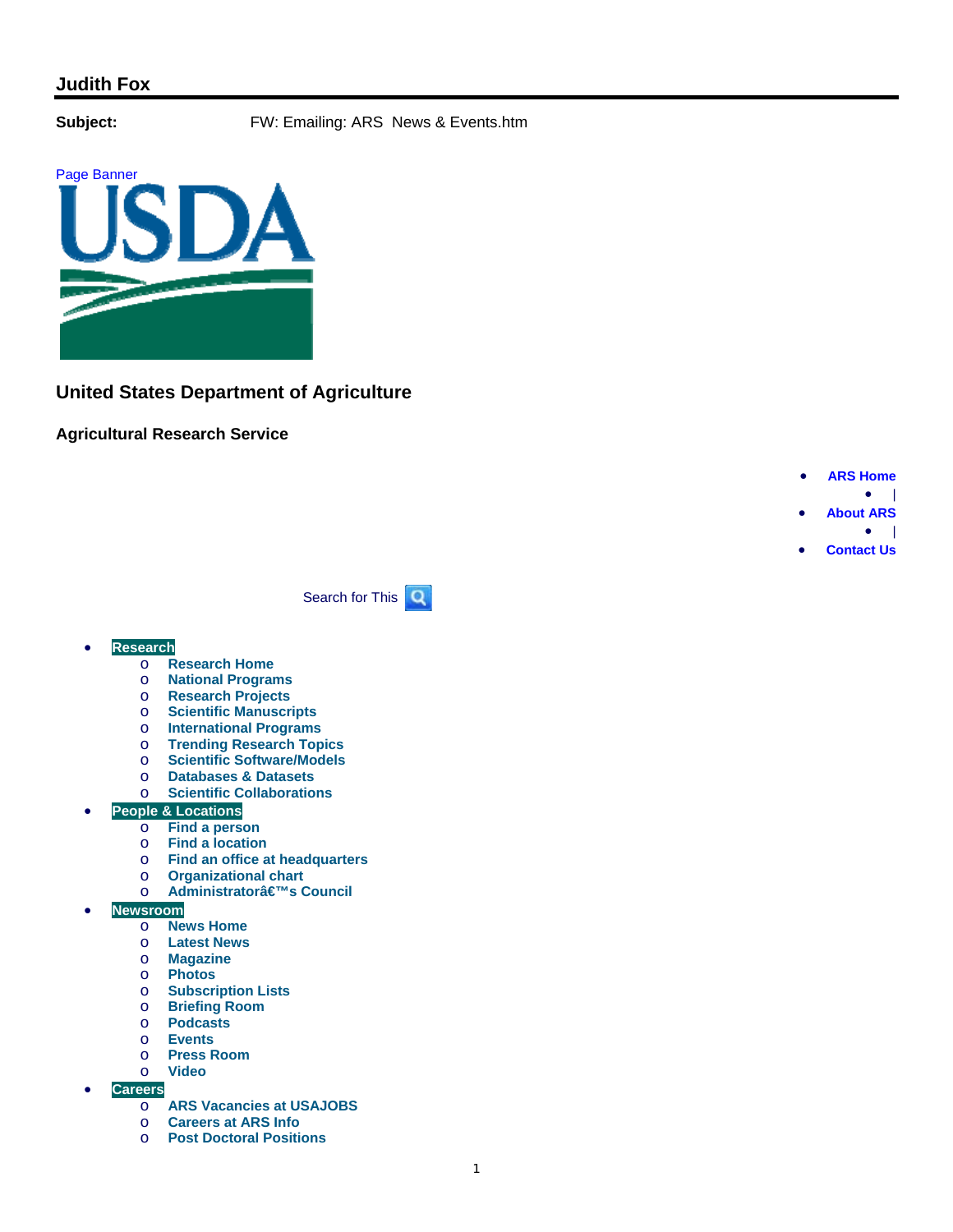Page Banner



# **United States Department of Agriculture**

## **Agricultural Research Service**



 $\bullet$  |

**Contact Us**

Search for This  $\mathbf Q$ 

### **Research**

- o **Research Home**
- o **National Programs**
- o **Research Projects**
- o **Scientific Manuscripts**
- o **International Programs**
- o **Trending Research Topics**
- o **Scientific Software/Models**
- o **Databases & Datasets**
- o **Scientific Collaborations**
- **People & Locations** 
	- o **Find a person**
	- o **Find a location**
	- o **Find an office at headquarters**
	- o **Organizational chart**
	- o **Administratorâ€<sup>™</sup>s Council**
- **Newsroom** 
	- o **News Home**
	- o **Latest News**
	- o **Magazine**
	- o **Photos**
	- **Subscription Lists**
	- o **Briefing Room**
	- o **Podcasts**
	- o **Events**
	- o **Press Room**  o **Video**
- **Careers** 
	- o **ARS Vacancies at USAJOBS**
	- o **Careers at ARS Info**
	- o **Post Doctoral Positions**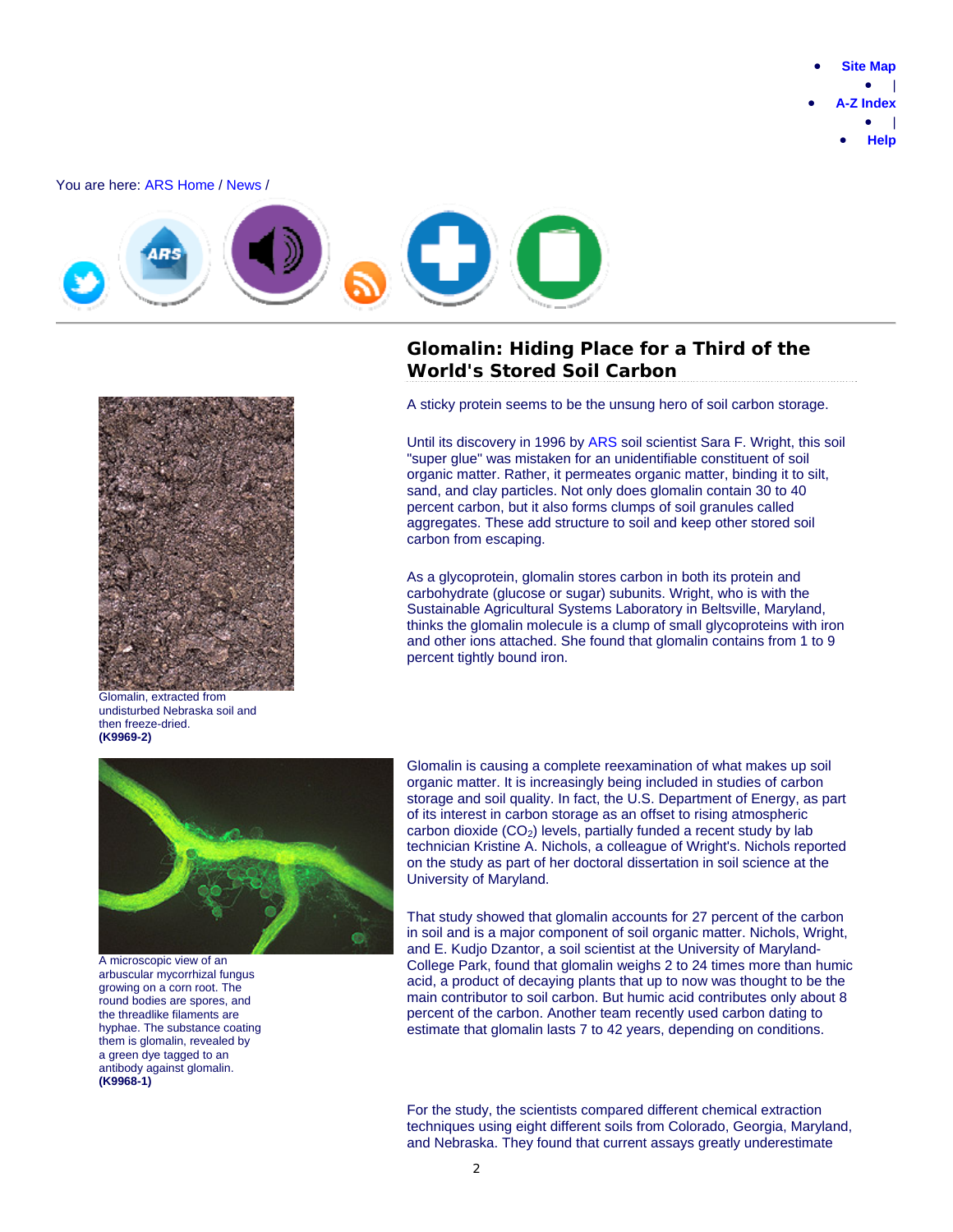You are here: ARS Home / News /



## **Glomalin: Hiding Place for a Third of the World's Stored Soil Carbon**



Glomalin, extracted from undisturbed Nebraska soil and then freeze-dried. **(K9969-2)**

A sticky protein seems to be the unsung hero of soil carbon storage.

Until its discovery in 1996 by ARS soil scientist Sara F. Wright, this soil "super glue" was mistaken for an unidentifiable constituent of soil organic matter. Rather, it permeates organic matter, binding it to silt, sand, and clay particles. Not only does glomalin contain 30 to 40 percent carbon, but it also forms clumps of soil granules called aggregates. These add structure to soil and keep other stored soil carbon from escaping.

As a glycoprotein, glomalin stores carbon in both its protein and carbohydrate (glucose or sugar) subunits. Wright, who is with the Sustainable Agricultural Systems Laboratory in Beltsville, Maryland, thinks the glomalin molecule is a clump of small glycoproteins with iron and other ions attached. She found that glomalin contains from 1 to 9 percent tightly bound iron.



A microscopic view of an arbuscular mycorrhizal fungus growing on a corn root. The round bodies are spores, and the threadlike filaments are hyphae. The substance coating them is glomalin, revealed by a green dye tagged to an antibody against glomalin. **(K9968-1)**

Glomalin is causing a complete reexamination of what makes up soil organic matter. It is increasingly being included in studies of carbon storage and soil quality. In fact, the U.S. Department of Energy, as part of its interest in carbon storage as an offset to rising atmospheric carbon dioxide  $(CO<sub>2</sub>)$  levels, partially funded a recent study by lab technician Kristine A. Nichols, a colleague of Wright's. Nichols reported on the study as part of her doctoral dissertation in soil science at the University of Maryland.

That study showed that glomalin accounts for 27 percent of the carbon in soil and is a major component of soil organic matter. Nichols, Wright, and E. Kudjo Dzantor, a soil scientist at the University of Maryland-College Park, found that glomalin weighs 2 to 24 times more than humic acid, a product of decaying plants that up to now was thought to be the main contributor to soil carbon. But humic acid contributes only about 8 percent of the carbon. Another team recently used carbon dating to estimate that glomalin lasts 7 to 42 years, depending on conditions.

 For the study, the scientists compared different chemical extraction techniques using eight different soils from Colorado, Georgia, Maryland, and Nebraska. They found that current assays greatly underestimate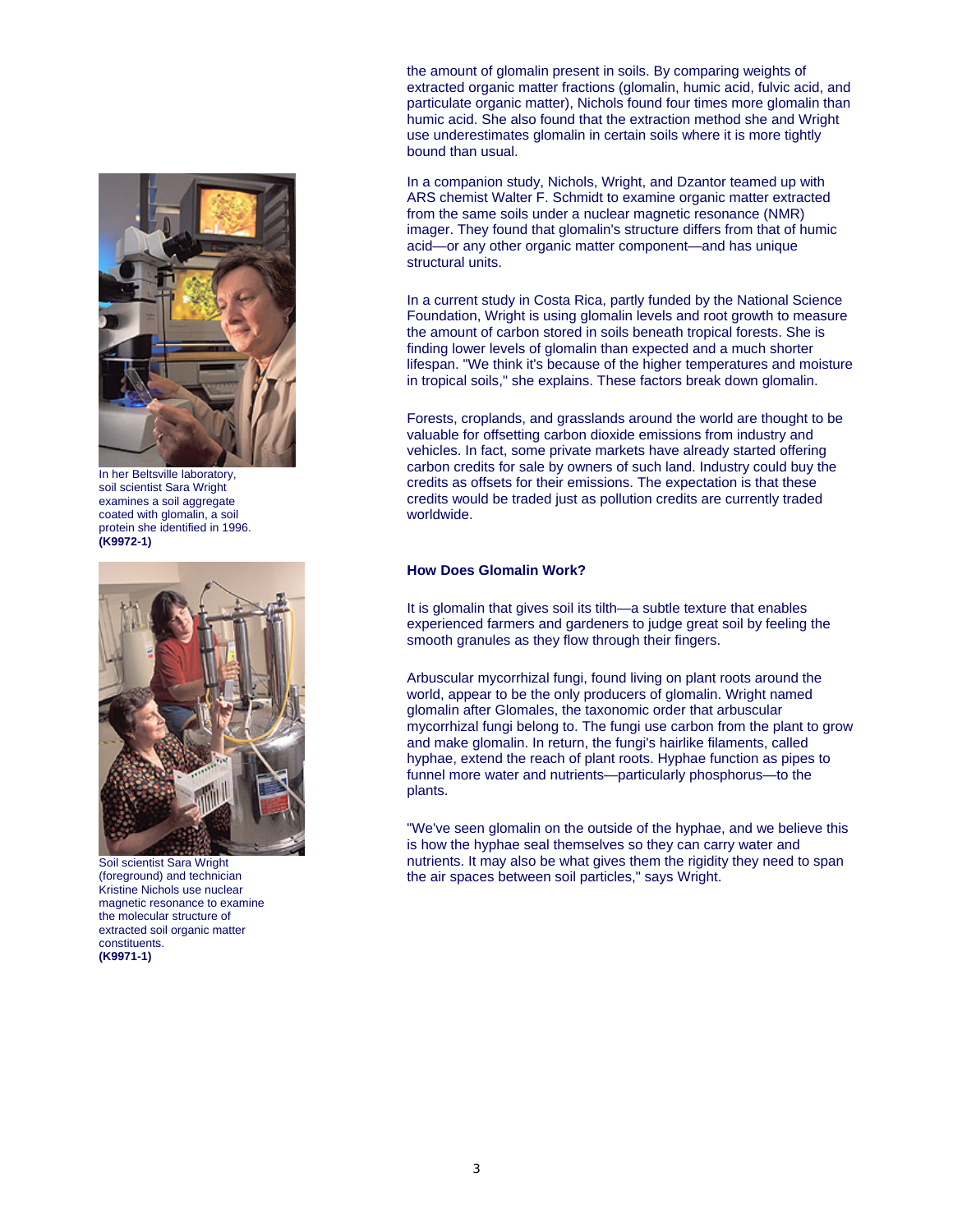

In her Beltsville laboratory, soil scientist Sara Wright examines a soil aggregate coated with glomalin, a soil protein she identified in 1996. **(K9972-1)**



Soil scientist Sara Wright (foreground) and technician Kristine Nichols use nuclear magnetic resonance to examine the molecular structure of extracted soil organic matter constituents. **(K9971-1)**

the amount of glomalin present in soils. By comparing weights of extracted organic matter fractions (glomalin, humic acid, fulvic acid, and particulate organic matter), Nichols found four times more glomalin than humic acid. She also found that the extraction method she and Wright use underestimates glomalin in certain soils where it is more tightly bound than usual.

In a companion study, Nichols, Wright, and Dzantor teamed up with ARS chemist Walter F. Schmidt to examine organic matter extracted from the same soils under a nuclear magnetic resonance (NMR) imager. They found that glomalin's structure differs from that of humic acid—or any other organic matter component—and has unique structural units.

In a current study in Costa Rica, partly funded by the National Science Foundation, Wright is using glomalin levels and root growth to measure the amount of carbon stored in soils beneath tropical forests. She is finding lower levels of glomalin than expected and a much shorter lifespan. "We think it's because of the higher temperatures and moisture in tropical soils," she explains. These factors break down glomalin.

Forests, croplands, and grasslands around the world are thought to be valuable for offsetting carbon dioxide emissions from industry and vehicles. In fact, some private markets have already started offering carbon credits for sale by owners of such land. Industry could buy the credits as offsets for their emissions. The expectation is that these credits would be traded just as pollution credits are currently traded worldwide.

#### **How Does Glomalin Work?**

It is glomalin that gives soil its tilth—a subtle texture that enables experienced farmers and gardeners to judge great soil by feeling the smooth granules as they flow through their fingers.

Arbuscular mycorrhizal fungi, found living on plant roots around the world, appear to be the only producers of glomalin. Wright named glomalin after Glomales, the taxonomic order that arbuscular mycorrhizal fungi belong to. The fungi use carbon from the plant to grow and make glomalin. In return, the fungi's hairlike filaments, called hyphae, extend the reach of plant roots. Hyphae function as pipes to funnel more water and nutrients—particularly phosphorus—to the plants.

"We've seen glomalin on the outside of the hyphae, and we believe this is how the hyphae seal themselves so they can carry water and nutrients. It may also be what gives them the rigidity they need to span the air spaces between soil particles," says Wright.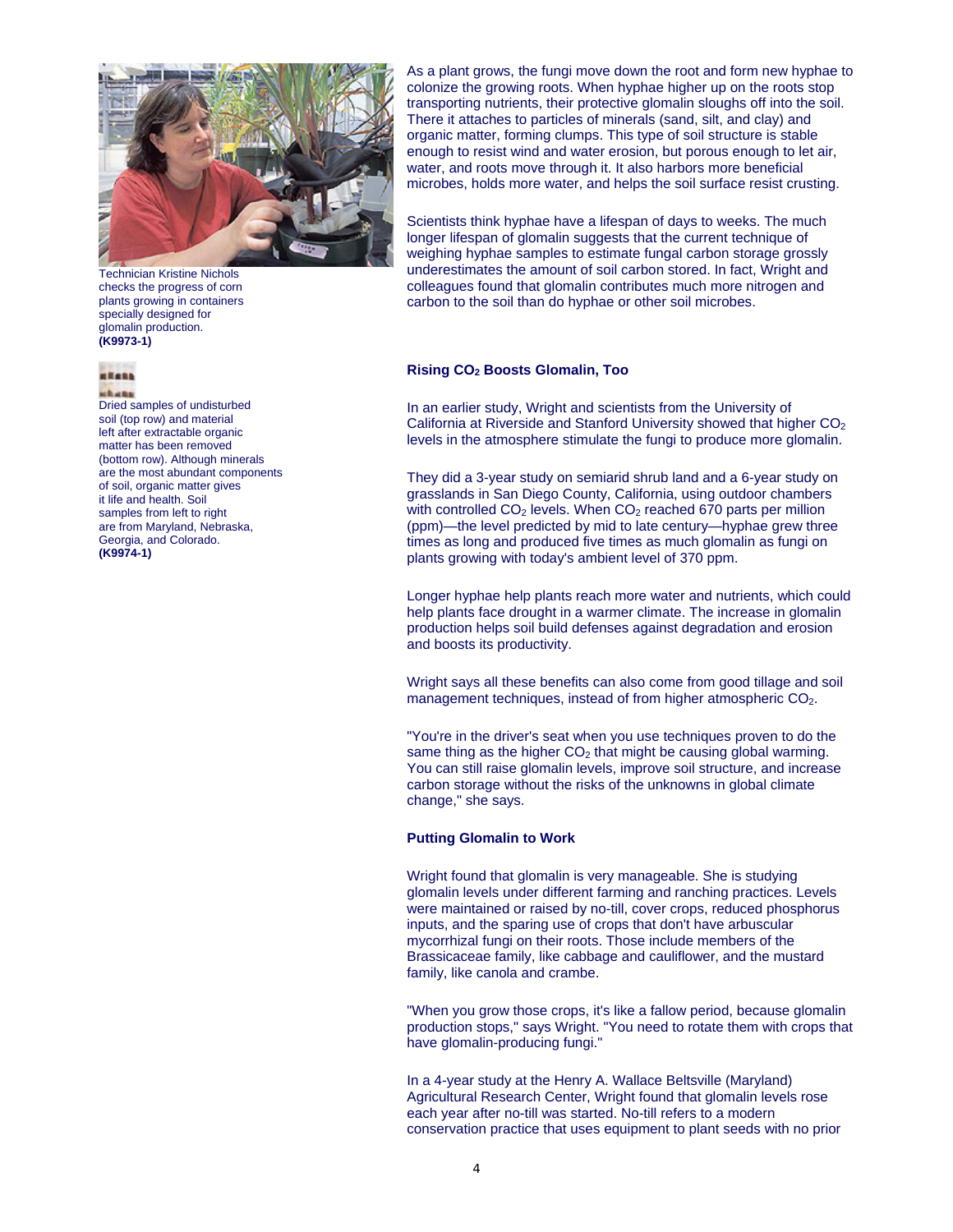

Technician Kristine Nichols checks the progress of corn plants growing in containers specially designed for glomalin production. **(K9973-1)**

#### **HEARS**

ubunu

Dried samples of undisturbed soil (top row) and material left after extractable organic matter has been removed (bottom row). Although minerals are the most abundant components of soil, organic matter gives it life and health. Soil samples from left to right are from Maryland, Nebraska, Georgia, and Colorado. **(K9974-1)**

As a plant grows, the fungi move down the root and form new hyphae to colonize the growing roots. When hyphae higher up on the roots stop transporting nutrients, their protective glomalin sloughs off into the soil. There it attaches to particles of minerals (sand, silt, and clay) and organic matter, forming clumps. This type of soil structure is stable enough to resist wind and water erosion, but porous enough to let air, water, and roots move through it. It also harbors more beneficial microbes, holds more water, and helps the soil surface resist crusting.

Scientists think hyphae have a lifespan of days to weeks. The much longer lifespan of glomalin suggests that the current technique of weighing hyphae samples to estimate fungal carbon storage grossly underestimates the amount of soil carbon stored. In fact, Wright and colleagues found that glomalin contributes much more nitrogen and carbon to the soil than do hyphae or other soil microbes.

#### **Rising CO2 Boosts Glomalin, Too**

In an earlier study, Wright and scientists from the University of California at Riverside and Stanford University showed that higher CO<sub>2</sub> levels in the atmosphere stimulate the fungi to produce more glomalin.

They did a 3-year study on semiarid shrub land and a 6-year study on grasslands in San Diego County, California, using outdoor chambers with controlled  $CO<sub>2</sub>$  levels. When  $CO<sub>2</sub>$  reached 670 parts per million (ppm)—the level predicted by mid to late century—hyphae grew three times as long and produced five times as much glomalin as fungi on plants growing with today's ambient level of 370 ppm.

Longer hyphae help plants reach more water and nutrients, which could help plants face drought in a warmer climate. The increase in glomalin production helps soil build defenses against degradation and erosion and boosts its productivity.

Wright says all these benefits can also come from good tillage and soil management techniques, instead of from higher atmospheric CO<sub>2</sub>.

"You're in the driver's seat when you use techniques proven to do the same thing as the higher  $CO<sub>2</sub>$  that might be causing global warming. You can still raise glomalin levels, improve soil structure, and increase carbon storage without the risks of the unknowns in global climate change," she says.

#### **Putting Glomalin to Work**

Wright found that glomalin is very manageable. She is studying glomalin levels under different farming and ranching practices. Levels were maintained or raised by no-till, cover crops, reduced phosphorus inputs, and the sparing use of crops that don't have arbuscular mycorrhizal fungi on their roots. Those include members of the Brassicaceae family, like cabbage and cauliflower, and the mustard family, like canola and crambe.

"When you grow those crops, it's like a fallow period, because glomalin production stops," says Wright. "You need to rotate them with crops that have glomalin-producing fungi."

In a 4-year study at the Henry A. Wallace Beltsville (Maryland) Agricultural Research Center, Wright found that glomalin levels rose each year after no-till was started. No-till refers to a modern conservation practice that uses equipment to plant seeds with no prior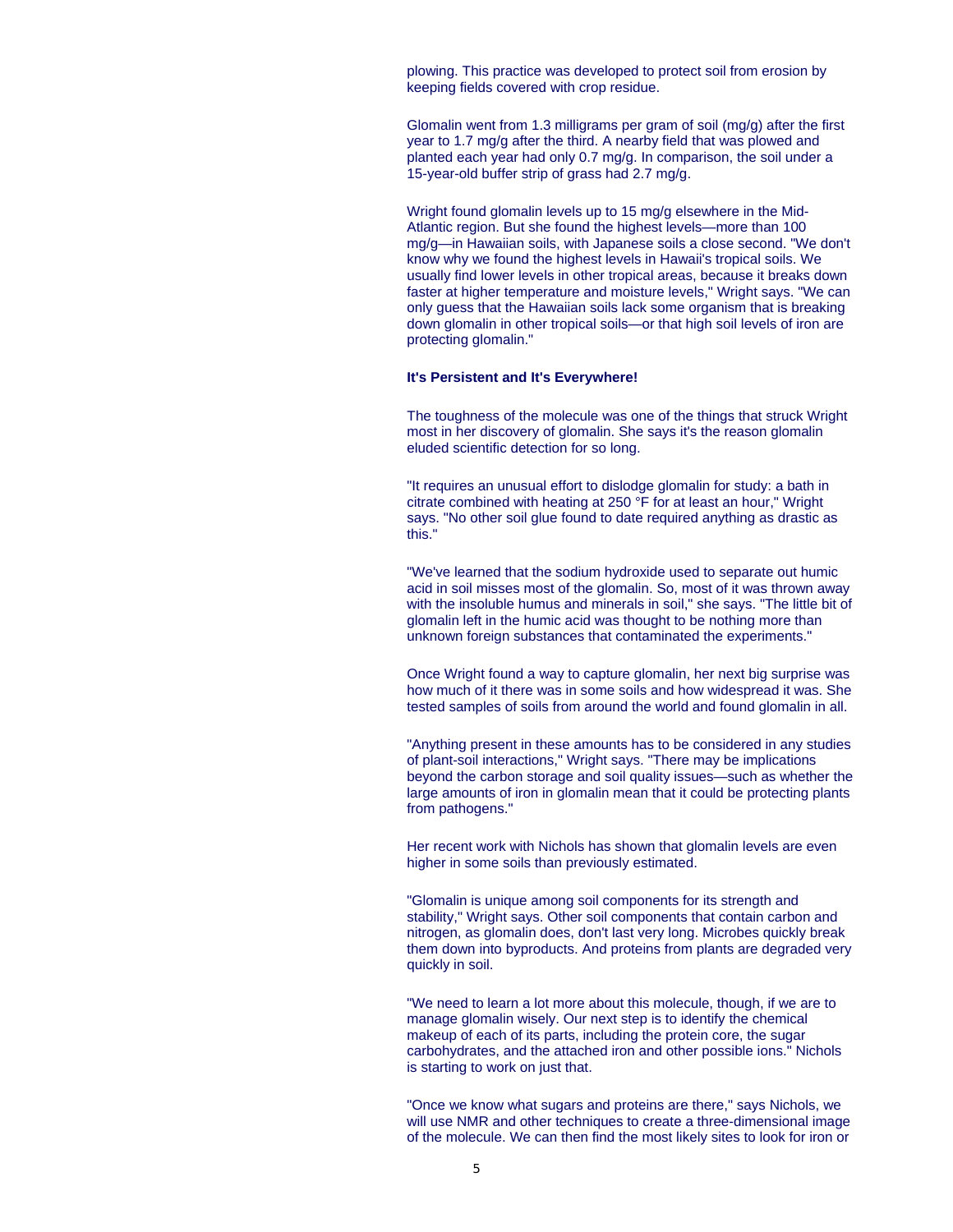plowing. This practice was developed to protect soil from erosion by keeping fields covered with crop residue.

Glomalin went from 1.3 milligrams per gram of soil (mg/g) after the first year to 1.7 mg/g after the third. A nearby field that was plowed and planted each year had only 0.7 mg/g. In comparison, the soil under a 15-year-old buffer strip of grass had 2.7 mg/g.

Wright found glomalin levels up to 15 mg/g elsewhere in the Mid-Atlantic region. But she found the highest levels—more than 100 mg/g—in Hawaiian soils, with Japanese soils a close second. "We don't know why we found the highest levels in Hawaii's tropical soils. We usually find lower levels in other tropical areas, because it breaks down faster at higher temperature and moisture levels," Wright says. "We can only guess that the Hawaiian soils lack some organism that is breaking down glomalin in other tropical soils—or that high soil levels of iron are protecting glomalin."

#### **It's Persistent and It's Everywhere!**

The toughness of the molecule was one of the things that struck Wright most in her discovery of glomalin. She says it's the reason glomalin eluded scientific detection for so long.

"It requires an unusual effort to dislodge glomalin for study: a bath in citrate combined with heating at 250 °F for at least an hour," Wright says. "No other soil glue found to date required anything as drastic as this."

"We've learned that the sodium hydroxide used to separate out humic acid in soil misses most of the glomalin. So, most of it was thrown away with the insoluble humus and minerals in soil," she says. "The little bit of glomalin left in the humic acid was thought to be nothing more than unknown foreign substances that contaminated the experiments."

Once Wright found a way to capture glomalin, her next big surprise was how much of it there was in some soils and how widespread it was. She tested samples of soils from around the world and found glomalin in all.

"Anything present in these amounts has to be considered in any studies of plant-soil interactions," Wright says. "There may be implications beyond the carbon storage and soil quality issues—such as whether the large amounts of iron in glomalin mean that it could be protecting plants from pathogens."

Her recent work with Nichols has shown that glomalin levels are even higher in some soils than previously estimated.

"Glomalin is unique among soil components for its strength and stability," Wright says. Other soil components that contain carbon and nitrogen, as glomalin does, don't last very long. Microbes quickly break them down into byproducts. And proteins from plants are degraded very quickly in soil.

"We need to learn a lot more about this molecule, though, if we are to manage glomalin wisely. Our next step is to identify the chemical makeup of each of its parts, including the protein core, the sugar carbohydrates, and the attached iron and other possible ions." Nichols is starting to work on just that.

"Once we know what sugars and proteins are there," says Nichols, we will use NMR and other techniques to create a three-dimensional image of the molecule. We can then find the most likely sites to look for iron or